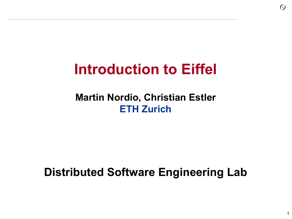# **Introduction to Eiffel**

#### **Martin Nordio, Christian Estler ETH Zurich**

# **Distributed Software Engineering Lab**

1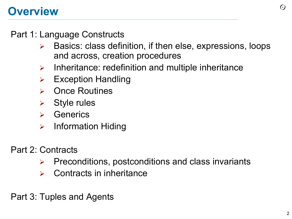# **Overview**

Part 1: Language Constructs

- $\triangleright$  Basics: class definition, if then else, expressions, loops and across, creation procedures
- $\triangleright$  Inheritance: redefinition and multiple inheritance
- $\triangleright$  Exception Handling
- $\triangleright$  Once Routines
- $\triangleright$  Style rules
- $\triangleright$  Generics
- $\triangleright$  Information Hiding
- Part 2: Contracts
	- $\triangleright$  Preconditions, postconditions and class invariants
	- $\triangleright$  Contracts in inheritance

Part 3: Tuples and Agents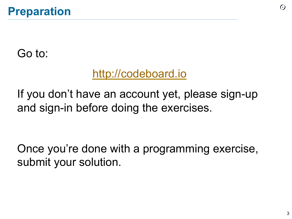Go to:

# http://codeboard.io

If you don't have an account yet, please sign-up and sign-in before doing the exercises.

Once you're done with a programming exercise, submit your solution.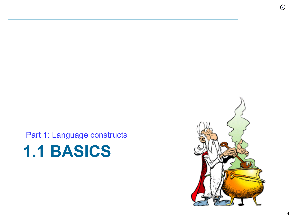Part 1: Language constructs

# **1.1 BASICS**

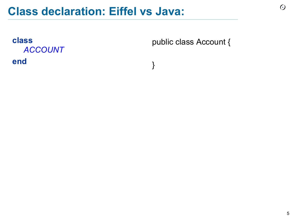# **Class declaration: Eiffel vs Java:**

**class** *ACCOUNT*  **end**

public class Account {

}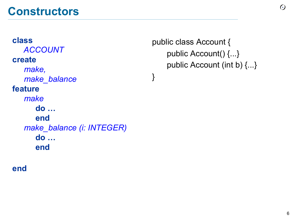**class** *ACCOUNT*  **create**  *make, make\_balance*  **feature**  *make* **do … end**  *make\_balance (i: INTEGER)* **do … end** 

public class Account { public Account() {...} public Account (int b) {...} }

**end**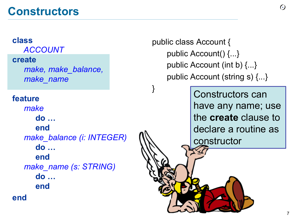#### **class** *ACCOUNT*  **create**  *make, make\_balance, make\_name*  **feature**  *make* **do … end**  *make\_balance (i: INTEGER)* **do … end**  *make\_name (s: STRING)* **do … end end**

public class Account { public Account() {...} public Account (int b) {...} public Account (string s) {...}

> Constructors can have any name; use the **create** clause to declare a routine as constructor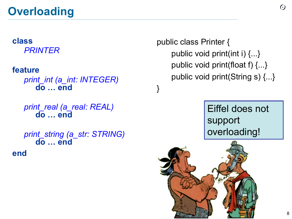#### **class** *PRINTER*

**feature** 

*print\_int (a\_int: INTEGER)* **do … end** 

*print\_real (a\_real: REAL)* **do … end** 

*print\_string (a\_str: STRING)* **do … end** 

**end**

public class Printer { public void print(int i) {...} public void print(float f) {...} public void print(String s) {...}

> Eiffel does not support overloading!



}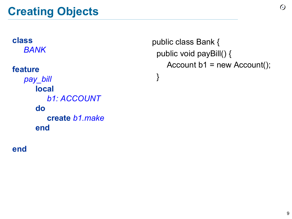**class** *BANK*  **feature**  *pay\_bill* **local** *b1: ACCOUNT*   **do create** *b1.make*  **end** 

**end**

public class Bank { public void payBill() { Account  $b1$  = new Account(); }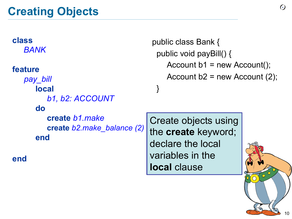```
class
    BANK 
feature 
   pay_bill
       local 
          b1, b2: ACCOUNT 
       do 
          create b1.make 
          create b2.make_balance (2)
       end 
end
                                       public class Bank { 
                                         public void payBill() { 
                                           Account b1 = new Account();
                                           Account b2 = new Account (2);
                                        } 
                                      Create objects using 
                                      the create keyword; 
                                      declare the local 
                                      variables in the 
                                      local clause
```
10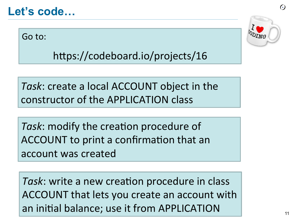### **Let's code…**

Go to:



(•)

https://codeboard.io/projects/16

Task: create a local ACCOUNT object in the constructor of the APPLICATION class 

*Task*: modify the creation procedure of ACCOUNT to print a confirmation that an account was created

*Task*: write a new creation procedure in class ACCOUNT that lets you create an account with an initial balance; use it from APPLICATION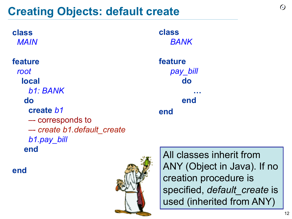# **Creating Objects: default create**

| class                       | class       |
|-----------------------------|-------------|
| <b>MAIN</b>                 | <b>BANK</b> |
| feature                     | feature     |
| root                        | pay_bill    |
| <b>local</b>                | do          |
| b1: BANK                    |             |
| $\mathbf{d}\mathbf{o}$      | end         |
| create b1                   | end         |
| - corresponds to            |             |
| -- create b1.default create |             |
| b1.pay_bill                 |             |
| end                         | A II        |

**end**



All classes inherit from ANY (Object in Java). If no creation procedure is specified, *default\_create* is used (inherited from ANY)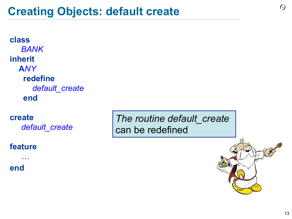```
class
    BANK 
inherit
   ANY 
     redefine 
        default_create 
     end
```
**create** 

*default\_create* 

#### **feature**

*…* **end**

*The routine default\_create* can be redefined

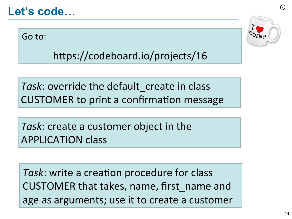# **Let's code…**

Go to:



https://codeboard.io/projects/16

Task: override the default create in class CUSTOMER to print a confirmation message

Task: create a customer object in the APPLICATION class 

*Task*: write a creation procedure for class CUSTOMER that takes, name, first name and age as arguments; use it to create a customer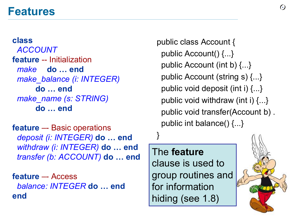### **Features**

**class**  *ACCOUNT*  **feature** -- Initialization  *make* **do … end**   *make\_balance (i: INTEGER)* **do … end**   *make\_name (s: STRING)* **do … end** 

**feature** –- Basic operations  *deposit (i: INTEGER)* **do … end**   *withdraw (i: INTEGER)* **do … end**   *transfer (b: ACCOUNT)* **do … end** 

**feature** –- Access  *balance: INTEGER* **do … end end**

public class Account { public Account() {...} public Account (int b) {...} public Account (string s) {...} public void deposit (int i) {...} public void withdraw (int i) {...} public void transfer(Account b) . public int balance() {...}

The **feature**  clause is used to group routines and for information hiding (see 1.8)

}

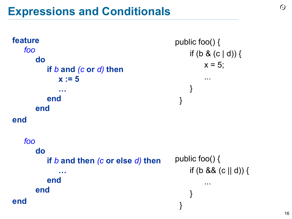**feature**  *foo* **do if** *b* **and** *(c* **or** *d)* **then**  $x := 5$  **… end**  **end end** *foo* **do if** *b* **and then** *(c* **or else** *d)* **then … end**  **end end** public foo() { if (b & (c | d)) {  $x = 5$ ; ... } } public foo() { if (b && (c  $|| d$ )) { ... } }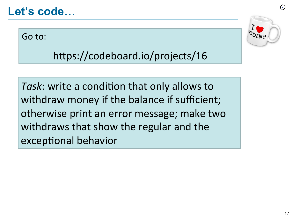# **Let's code…**

Go to:



 $\odot$ 

https://codeboard.io/projects/16

*Task*: write a condition that only allows to withdraw money if the balance if sufficient; otherwise print an error message; make two withdraws that show the regular and the exceptional behavior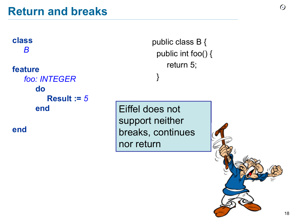**class** *B* 

**feature**  *foo: INTEGER* **do Result :=** *5*   **end** 

**end**

public class B { public int foo() { return 5; }

Eiffel does not support neither breaks, continues nor return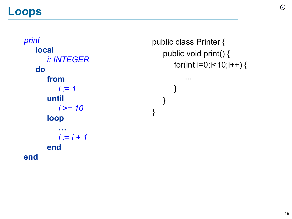**Loops** 

*print* **local**   *i: INTEGER* **do from**   $i := 1$  **until**   $i > = 10$  **loop …**  $i := i + 1$  **end end**  public class Printer { public void print() { for(int i=0;i<10;i++) { ... } } }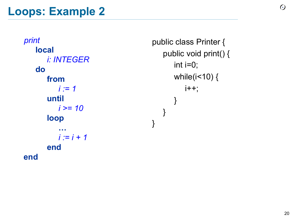*print* **local**   *i: INTEGER* **do from**   $i := 1$  **until**   $i > = 10$  **loop …**  $i := i + 1$  **end end** 

public class Printer { public void print() { int  $i=0$ ; while(i<10) {  $i++;$ } } }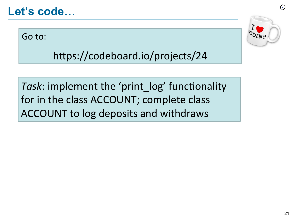# **Let's code…**

Go to:



 $\odot$ 

https://codeboard.io/projects/24

*Task*: implement the 'print\_log' functionality for in the class ACCOUNT; complete class ACCOUNT to log deposits and withdraws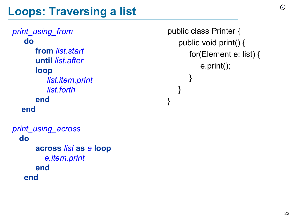# **Loops: Traversing a list**

*print\_using\_from* **do from** *list.start*  **until** *list.after*  **loop** *list.item.print* *list.forth*  **end end**  *print\_using\_across*  **do across** *list* **as** *e* **loop** *e.item.print*  **end end** 

public class Printer { public void print() { for(Element e: list) { e.print(); } } }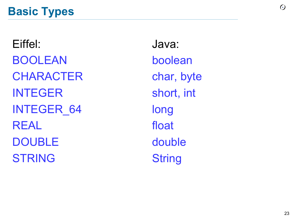Eiffel: BOOLEAN **CHARACTER** INTEGER INTEGER\_64 REAL DOUBLE STRING

Java: boolean char, byte short, int long float double **String**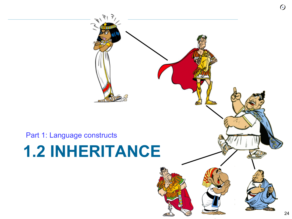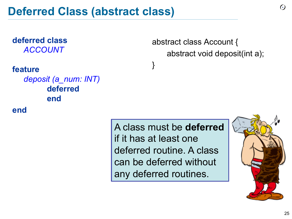**deferred class** *ACCOUNT* 

**feature** *deposit (a\_num: INT)* **deferred end**

**end**

abstract class Account { abstract void deposit(int a);

A class must be **deferred** if it has at least one deferred routine. A class can be deferred without any deferred routines.

}

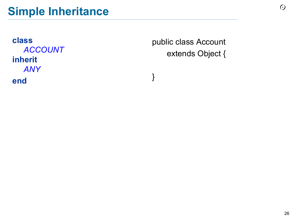**class** *ACCOUNT*  **inherit** *ANY*  **end**

public class Account extends Object {

}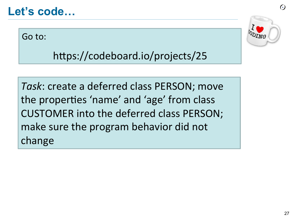# **Let's code…**

Go to:



 $\odot$ 

https://codeboard.io/projects/25

Task: create a deferred class PERSON; move the properties 'name' and 'age' from class CUSTOMER into the deferred class PERSON; make sure the program behavior did not change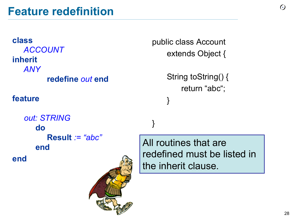**class** *ACCOUNT*  **inherit** *ANY* **redefine** *out* **end feature**  *out: STRING* **do Result** *:= "abc"*   **end end**



public class Account extends Object {

> String toString() { return "abc"; }

}

All routines that are redefined must be listed in the inherit clause.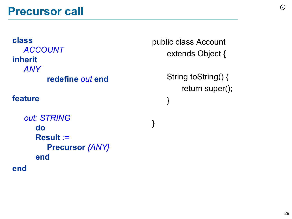**class** *ACCOUNT*  **inherit** *ANY* **redefine** *out* **end feature**  *out: STRING* **do Result** *:=* **Precursor** *{ANY}*   **end end**

public class Account extends Object {

}

String toString() { return super(); }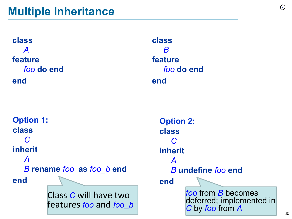**class** *A*  **feature** *foo* **do end end Option 1: class** *C*  **inherit**  *A*

*B* **rename** *foo* **as** *foo\_b* **end** 

**end**

**Class C will have two** features *foo* and *foo\_b* **class** *B*  **feature** *foo* **do end end**

> **Option 2: class** *C*  **inherit**  *A* *B* **undefine** *foo* **end end** *foo* from *B* becomes deferred; implemented in *C* by *foo* from *A*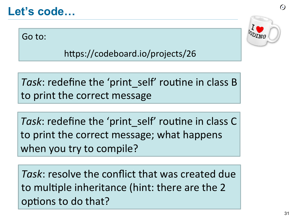# **Let's code…**

Go to:



https://codeboard.io/projects/26

Task: redefine the 'print self' routine in class B to print the correct message

*Task*: redefine the 'print\_self' routine in class C to print the correct message; what happens when you try to compile?

*Task*: resolve the conflict that was created due to multiple inheritance (hint: there are the 2 options to do that?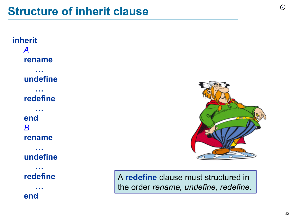



32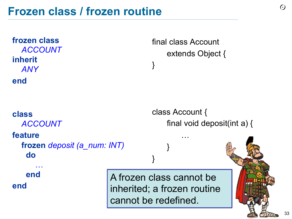**frozen class** *ACCOUNT*  **inherit** *ANY*  **end**

**class**

**feature** 

 **do** 

 **end** 

 *…*

**end**

*ACCOUNT*   **frozen** *deposit (a\_num: INT)*  class Account { final void deposit(int a) { … } } A frozen class cannot be inherited; a frozen routine

}

cannot be redefined.

final class Account

extends Object {

33